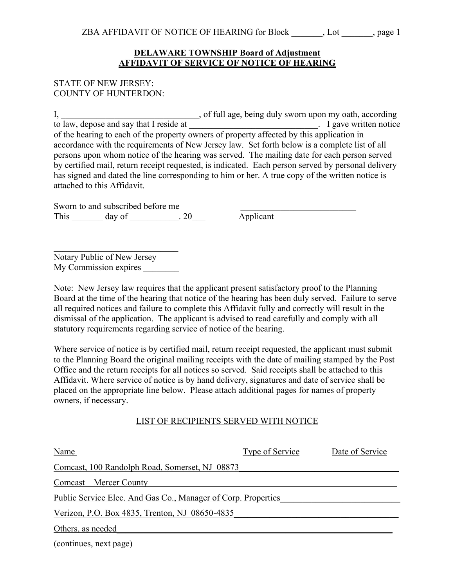## **DELAWARE TOWNSHIP Board of Adjustment AFFIDAVIT OF SERVICE OF NOTICE OF HEARING**

## STATE OF NEW JERSEY: COUNTY OF HUNTERDON:

I, 1. The same of the same of full age, being duly sworn upon my oath, according to law, depose and say that I reside at  $\Box$  is a set of the same state of the same state of the state of the state of the state of the state of the state of the state of the state of the state of the state of the state of of the hearing to each of the property owners of property affected by this application in accordance with the requirements of New Jersey law. Set forth below is a complete list of all persons upon whom notice of the hearing was served. The mailing date for each person served by certified mail, return receipt requested, is indicated. Each person served by personal delivery has signed and dated the line corresponding to him or her. A true copy of the written notice is attached to this Affidavit.

Sworn to and subscribed before me This day of 20 Applicant

Notary Public of New Jersey My Commission expires

Note: New Jersey law requires that the applicant present satisfactory proof to the Planning Board at the time of the hearing that notice of the hearing has been duly served. Failure to serve all required notices and failure to complete this Affidavit fully and correctly will result in the dismissal of the application. The applicant is advised to read carefully and comply with all statutory requirements regarding service of notice of the hearing.

Where service of notice is by certified mail, return receipt requested, the applicant must submit to the Planning Board the original mailing receipts with the date of mailing stamped by the Post Office and the return receipts for all notices so served. Said receipts shall be attached to this Affidavit. Where service of notice is by hand delivery, signatures and date of service shall be placed on the appropriate line below. Please attach additional pages for names of property owners, if necessary.

## LIST OF RECIPIENTS SERVED WITH NOTICE

| Name                                                                 | Type of Service | Date of Service |  |  |
|----------------------------------------------------------------------|-----------------|-----------------|--|--|
| Comcast, 100 Randolph Road, Somerset, NJ 08873                       |                 |                 |  |  |
| Comcast – Mercer County                                              |                 |                 |  |  |
| <u>Public Service Elec. And Gas Co., Manager of Corp. Properties</u> |                 |                 |  |  |
| Verizon, P.O. Box 4835, Trenton, NJ 08650-4835                       |                 |                 |  |  |
| Others, as needed                                                    |                 |                 |  |  |

(continues, next page)